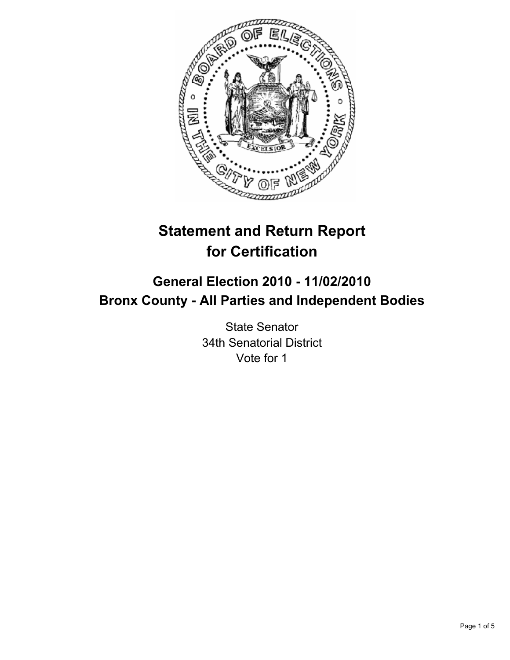

# **Statement and Return Report for Certification**

# **General Election 2010 - 11/02/2010 Bronx County - All Parties and Independent Bodies**

State Senator 34th Senatorial District Vote for 1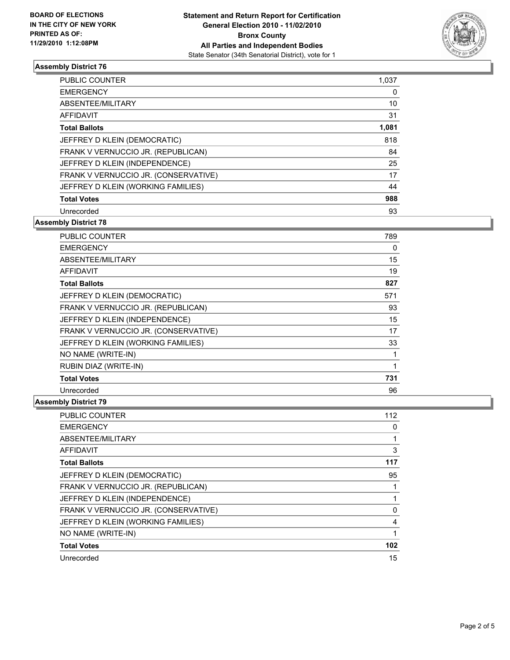

#### **Assembly District 76**

| <b>PUBLIC COUNTER</b>                | 1,037 |
|--------------------------------------|-------|
| <b>EMERGENCY</b>                     | 0     |
| ABSENTEE/MILITARY                    | 10    |
| AFFIDAVIT                            | 31    |
| <b>Total Ballots</b>                 | 1,081 |
| JEFFREY D KLEIN (DEMOCRATIC)         | 818   |
| FRANK V VERNUCCIO JR. (REPUBLICAN)   | 84    |
| JEFFREY D KLEIN (INDEPENDENCE)       | 25    |
| FRANK V VERNUCCIO JR. (CONSERVATIVE) | 17    |
| JEFFREY D KLEIN (WORKING FAMILIES)   | 44    |
| <b>Total Votes</b>                   | 988   |
| Unrecorded                           | 93    |

**Assembly District 78**

| <b>PUBLIC COUNTER</b>                | 789 |
|--------------------------------------|-----|
| <b>EMERGENCY</b>                     | 0   |
| ABSENTEE/MILITARY                    | 15  |
| AFFIDAVIT                            | 19  |
| <b>Total Ballots</b>                 | 827 |
| JEFFREY D KLEIN (DEMOCRATIC)         | 571 |
| FRANK V VERNUCCIO JR. (REPUBLICAN)   | 93  |
| JEFFREY D KLEIN (INDEPENDENCE)       | 15  |
| FRANK V VERNUCCIO JR. (CONSERVATIVE) | 17  |
| JEFFREY D KLEIN (WORKING FAMILIES)   | 33  |
| NO NAME (WRITE-IN)                   | 1   |
| RUBIN DIAZ (WRITE-IN)                | 1   |
| <b>Total Votes</b>                   | 731 |
| Unrecorded                           | 96  |

#### **Assembly District 79**

| <b>PUBLIC COUNTER</b>                | 112 |
|--------------------------------------|-----|
| <b>EMERGENCY</b>                     | 0   |
| ABSENTEE/MILITARY                    |     |
| AFFIDAVIT                            | 3   |
| <b>Total Ballots</b>                 | 117 |
| JEFFREY D KLEIN (DEMOCRATIC)         | 95  |
| FRANK V VERNUCCIO JR. (REPUBLICAN)   |     |
| JEFFREY D KLEIN (INDEPENDENCE)       |     |
| FRANK V VERNUCCIO JR. (CONSERVATIVE) | 0   |
| JEFFREY D KLEIN (WORKING FAMILIES)   | 4   |
| NO NAME (WRITE-IN)                   |     |
| <b>Total Votes</b>                   | 102 |
| Unrecorded                           | 15  |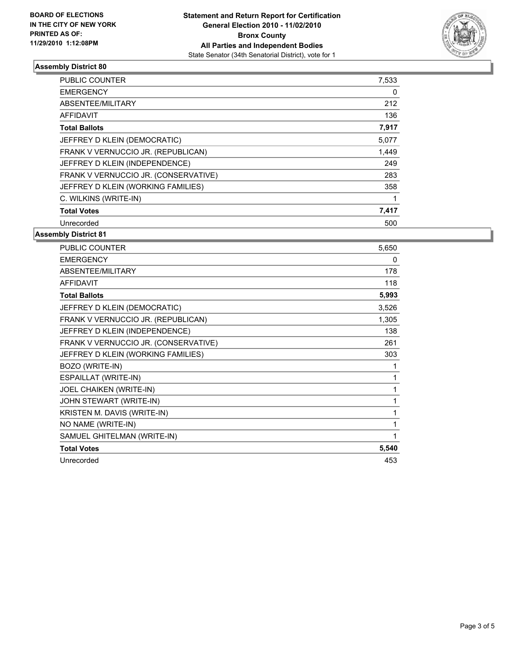

## **Assembly District 80**

| <b>PUBLIC COUNTER</b>                | 7,533 |
|--------------------------------------|-------|
| <b>EMERGENCY</b>                     | 0     |
| ABSENTEE/MILITARY                    | 212   |
| <b>AFFIDAVIT</b>                     | 136   |
| <b>Total Ballots</b>                 | 7,917 |
| JEFFREY D KLEIN (DEMOCRATIC)         | 5,077 |
| FRANK V VERNUCCIO JR. (REPUBLICAN)   | 1,449 |
| JEFFREY D KLEIN (INDEPENDENCE)       | 249   |
| FRANK V VERNUCCIO JR. (CONSERVATIVE) | 283   |
| JEFFREY D KLEIN (WORKING FAMILIES)   | 358   |
| C. WILKINS (WRITE-IN)                |       |
| <b>Total Votes</b>                   | 7,417 |
| Unrecorded                           | 500   |

#### **Assembly District 81**

| PUBLIC COUNTER                       | 5,650 |
|--------------------------------------|-------|
| <b>EMERGENCY</b>                     | 0     |
| ABSENTEE/MILITARY                    | 178   |
| <b>AFFIDAVIT</b>                     | 118   |
| <b>Total Ballots</b>                 | 5,993 |
| JEFFREY D KLEIN (DEMOCRATIC)         | 3,526 |
| FRANK V VERNUCCIO JR. (REPUBLICAN)   | 1,305 |
| JEFFREY D KLEIN (INDEPENDENCE)       | 138   |
| FRANK V VERNUCCIO JR. (CONSERVATIVE) | 261   |
| JEFFREY D KLEIN (WORKING FAMILIES)   | 303   |
| BOZO (WRITE-IN)                      | 1     |
| ESPAILLAT (WRITE-IN)                 | 1     |
| JOEL CHAIKEN (WRITE-IN)              | 1     |
| JOHN STEWART (WRITE-IN)              | 1     |
| KRISTEN M. DAVIS (WRITE-IN)          | 1     |
| NO NAME (WRITE-IN)                   | 1     |
| SAMUEL GHITELMAN (WRITE-IN)          | 1     |
| <b>Total Votes</b>                   | 5,540 |
| Unrecorded                           | 453   |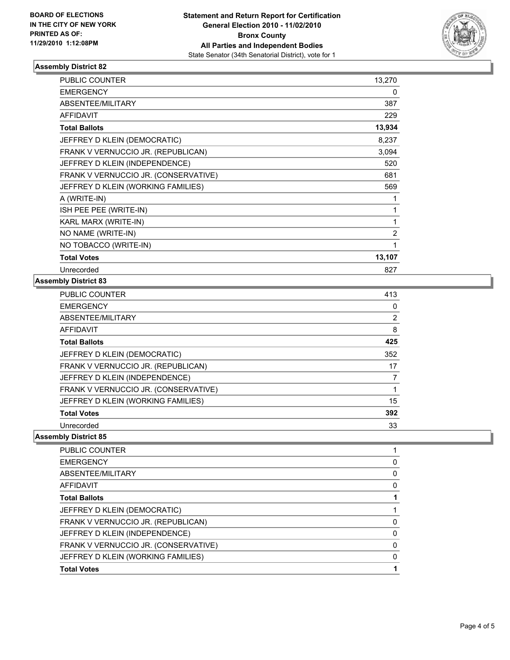

#### **Assembly District 82**

| <b>PUBLIC COUNTER</b>                | 13,270         |
|--------------------------------------|----------------|
| <b>EMERGENCY</b>                     | 0              |
| ABSENTEE/MILITARY                    | 387            |
| <b>AFFIDAVIT</b>                     | 229            |
| <b>Total Ballots</b>                 | 13,934         |
| JEFFREY D KLEIN (DEMOCRATIC)         | 8,237          |
| FRANK V VERNUCCIO JR. (REPUBLICAN)   | 3,094          |
| JEFFREY D KLEIN (INDEPENDENCE)       | 520            |
| FRANK V VERNUCCIO JR. (CONSERVATIVE) | 681            |
| JEFFREY D KLEIN (WORKING FAMILIES)   | 569            |
| A (WRITE-IN)                         | 1              |
| ISH PEE PEE (WRITE-IN)               | 1              |
| KARL MARX (WRITE-IN)                 | 1              |
| NO NAME (WRITE-IN)                   | $\overline{2}$ |
| NO TOBACCO (WRITE-IN)                | 1              |
| <b>Total Votes</b>                   | 13,107         |
| Unrecorded                           | 827            |

#### **Assembly District 83**

| <b>PUBLIC COUNTER</b>                | 413 |
|--------------------------------------|-----|
| <b>EMERGENCY</b>                     | 0   |
| ABSENTEE/MILITARY                    | 2   |
| <b>AFFIDAVIT</b>                     | 8   |
| <b>Total Ballots</b>                 | 425 |
| JEFFREY D KLEIN (DEMOCRATIC)         | 352 |
| FRANK V VERNUCCIO JR. (REPUBLICAN)   | 17  |
| JEFFREY D KLEIN (INDEPENDENCE)       |     |
| FRANK V VERNUCCIO JR. (CONSERVATIVE) |     |
| JEFFREY D KLEIN (WORKING FAMILIES)   | 15  |
| <b>Total Votes</b>                   | 392 |
| Unrecorded                           | 33  |

### **Assembly District 85**

| <b>PUBLIC COUNTER</b>                |   |
|--------------------------------------|---|
| <b>EMERGENCY</b>                     | 0 |
| ABSENTEE/MILITARY                    | 0 |
| AFFIDAVIT                            | 0 |
| <b>Total Ballots</b>                 |   |
| JEFFREY D KLEIN (DEMOCRATIC)         |   |
| FRANK V VERNUCCIO JR. (REPUBLICAN)   | 0 |
| JEFFREY D KLEIN (INDEPENDENCE)       | 0 |
| FRANK V VERNUCCIO JR. (CONSERVATIVE) | 0 |
| JEFFREY D KLEIN (WORKING FAMILIES)   | 0 |
| <b>Total Votes</b>                   |   |
|                                      |   |